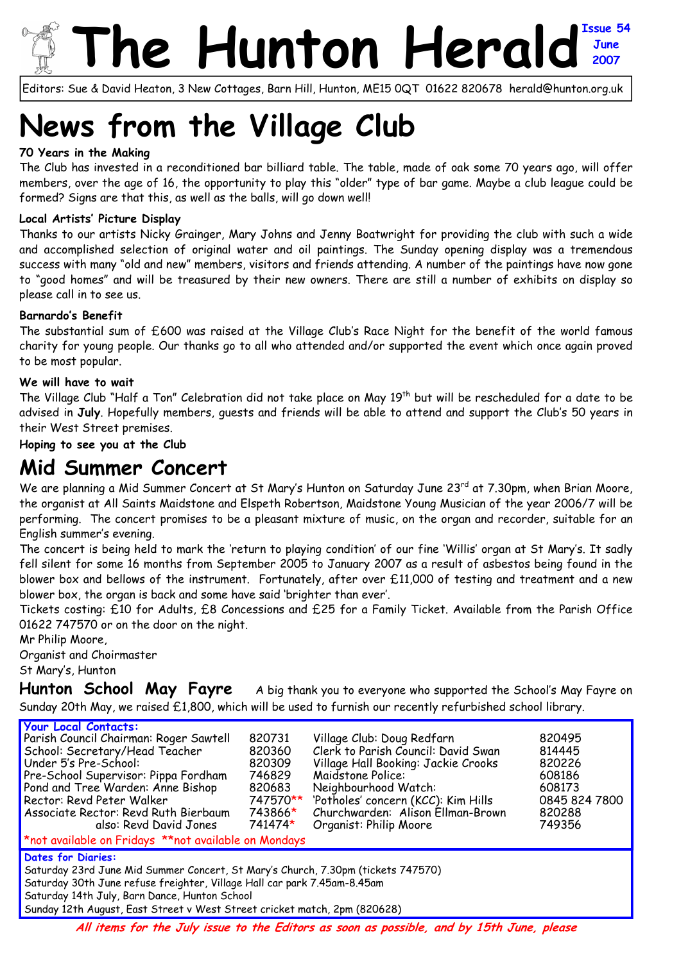# **he Hunton Heral June 2007**

Editors: Sue & David Heaton, 3 New Cottages, Barn Hill, Hunton, ME15 0QT 01622 820678 herald@hunton.org.uk

# **News from the Village Club**

#### **70 Years in the Making**

The Club has invested in a reconditioned bar billiard table. The table, made of oak some 70 years ago, will offer members, over the age of 16, the opportunity to play this "older" type of bar game. Maybe a club league could be formed? Signs are that this, as well as the balls, will go down well!

#### **Local Artists' Picture Display**

Thanks to our artists Nicky Grainger, Mary Johns and Jenny Boatwright for providing the club with such a wide and accomplished selection of original water and oil paintings. The Sunday opening display was a tremendous success with many "old and new" members, visitors and friends attending. A number of the paintings have now gone to "good homes" and will be treasured by their new owners. There are still a number of exhibits on display so please call in to see us.

#### **Barnardo's Benefit**

The substantial sum of £600 was raised at the Village Club's Race Night for the benefit of the world famous charity for young people. Our thanks go to all who attended and/or supported the event which once again proved to be most popular.

#### **We will have to wait**

The Village Club "Half a Ton" Celebration did not take place on May 19<sup>th</sup> but will be rescheduled for a date to be advised in **July**. Hopefully members, guests and friends will be able to attend and support the Club's 50 years in their West Street premises.

**Hoping to see you at the Club**

# **Mid Summer Concert**

We are planning a Mid Summer Concert at St Mary's Hunton on Saturday June 23<sup>rd</sup> at 7.30pm, when Brian Moore, the organist at All Saints Maidstone and Elspeth Robertson, Maidstone Young Musician of the year 2006/7 will be performing. The concert promises to be a pleasant mixture of music, on the organ and recorder, suitable for an English summer's evening.

The concert is being held to mark the 'return to playing condition' of our fine 'Willis' organ at St Mary's. It sadly fell silent for some 16 months from September 2005 to January 2007 as a result of asbestos being found in the blower box and bellows of the instrument. Fortunately, after over £11,000 of testing and treatment and a new blower box, the organ is back and some have said 'brighter than ever'.

Tickets costing: £10 for Adults, £8 Concessions and £25 for a Family Ticket. Available from the Parish Office 01622 747570 or on the door on the night.

Mr Philip Moore, Organist and Choirmaster St Mary's, Hunton

**Hunton School May Fayre** A big thank you to everyone who supported the School's May Fayre on Sunday 20th May, we raised £1,800, which will be used to furnish our recently refurbished school library.

| <b>Your Local Contacts:</b>                                                               |          |                                     |               |  |  |  |
|-------------------------------------------------------------------------------------------|----------|-------------------------------------|---------------|--|--|--|
| Parish Council Chairman: Roger Sawtell                                                    | 820731   | Village Club: Doug Redfarn          | 820495        |  |  |  |
| School: Secretary/Head Teacher                                                            | 820360   | Clerk to Parish Council: David Swan | 814445        |  |  |  |
| Under 5's Pre-School:                                                                     | 820309   | Village Hall Booking: Jackie Crooks | 820226        |  |  |  |
| Pre-School Supervisor: Pippa Fordham                                                      | 746829   | Maidstone Police:                   | 608186        |  |  |  |
| Pond and Tree Warden: Anne Bishop                                                         | 820683   | Neighbourhood Watch:                | 608173        |  |  |  |
| Rector: Revd Peter Walker                                                                 | 747570** | 'Potholes' concern (KCC): Kim Hills | 0845 824 7800 |  |  |  |
| Associate Rector: Revd Ruth Bierbaum                                                      | 743866*  | Churchwarden: Alison Ellman-Brown   | 820288        |  |  |  |
| also: Revd David Jones                                                                    | 741474*  | Organist: Philip Moore              | 749356        |  |  |  |
| *not available on Fridays **not available on Mondays                                      |          |                                     |               |  |  |  |
| <b>Dates for Diaries:</b>                                                                 |          |                                     |               |  |  |  |
| Saturday 23rd June Mid Summer Concert, St Mary's Church, 7.30pm (tickets 747570)          |          |                                     |               |  |  |  |
| Saturday 30th June refuse freighter, Village Hall car park 7.45am-8.45am                  |          |                                     |               |  |  |  |
| Saturday 14th July, Barn Dance, Hunton School                                             |          |                                     |               |  |  |  |
| Sunday 12th August, East Street v West Street cricket match, 2pm (820628)                 |          |                                     |               |  |  |  |
| All items for the July issue to the Editors as soon as possible, and by 15th June, please |          |                                     |               |  |  |  |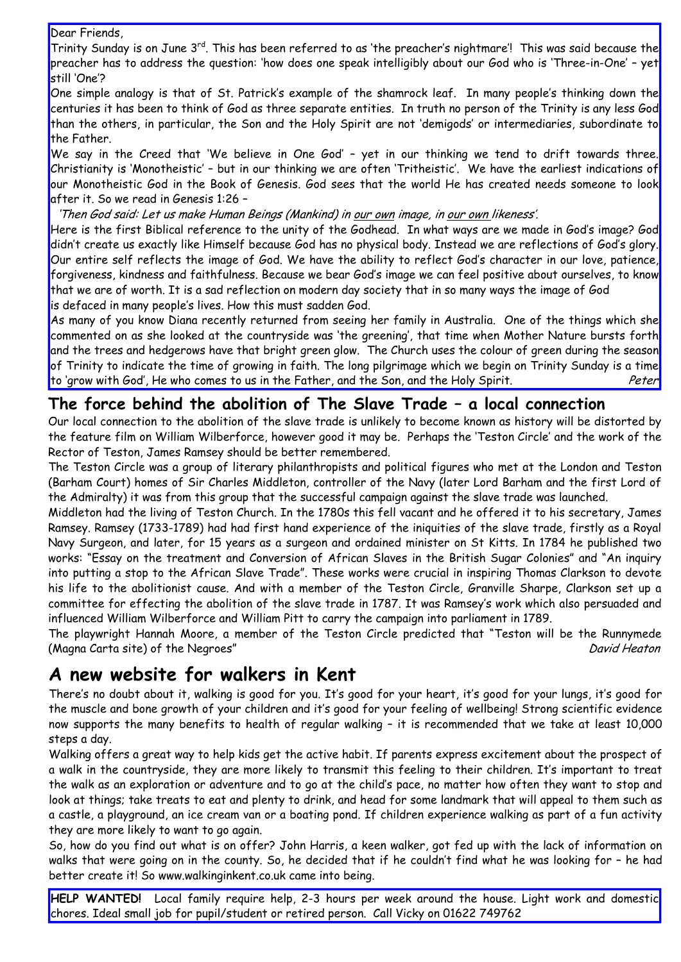Dear Friends,

Trinity Sunday is on June 3rd. This has been referred to as 'the preacher's nightmare'! This was said because the preacher has to address the question: 'how does one speak intelligibly about our God who is 'Three-in-One' – yet still 'One'?

One simple analogy is that of St. Patrick's example of the shamrock leaf. In many people's thinking down the centuries it has been to think of God as three separate entities. In truth no person of the Trinity is any less God than the others, in particular, the Son and the Holy Spirit are not 'demigods' or intermediaries, subordinate to the Father.

We say in the Creed that 'We believe in One God' – yet in our thinking we tend to drift towards three. Christianity is 'Monotheistic' – but in our thinking we are often 'Tritheistic'. We have the earliest indications of our Monotheistic God in the Book of Genesis. God sees that the world He has created needs someone to look after it. So we read in Genesis 1:26 –

'Then God said: Let us make Human Beings (Mankind) in our own image, in our own likeness'.

Here is the first Biblical reference to the unity of the Godhead. In what ways are we made in God's image? God didn't create us exactly like Himself because God has no physical body. Instead we are reflections of God's glory. Our entire self reflects the image of God. We have the ability to reflect God's character in our love, patience, forgiveness, kindness and faithfulness. Because we bear God's image we can feel positive about ourselves, to know that we are of worth. It is a sad reflection on modern day society that in so many ways the image of God is defaced in many people's lives. How this must sadden God.

As many of you know Diana recently returned from seeing her family in Australia. One of the things which she commented on as she looked at the countryside was 'the greening', that time when Mother Nature bursts forth and the trees and hedgerows have that bright green glow. The Church uses the colour of green during the season of Trinity to indicate the time of growing in faith. The long pilgrimage which we begin on Trinity Sunday is a time to 'grow with God', He who comes to us in the Father, and the Son, and the Holy Spirit. Peter

## **The force behind the abolition of The Slave Trade – a local connection**

Our local connection to the abolition of the slave trade is unlikely to become known as history will be distorted by the feature film on William Wilberforce, however good it may be. Perhaps the 'Teston Circle' and the work of the Rector of Teston, James Ramsey should be better remembered.

The Teston Circle was a group of literary philanthropists and political figures who met at the London and Teston (Barham Court) homes of Sir Charles Middleton, controller of the Navy (later Lord Barham and the first Lord of the Admiralty) it was from this group that the successful campaign against the slave trade was launched.

Middleton had the living of Teston Church. In the 1780s this fell vacant and he offered it to his secretary, James Ramsey. Ramsey (1733-1789) had had first hand experience of the iniquities of the slave trade, firstly as a Royal Navy Surgeon, and later, for 15 years as a surgeon and ordained minister on St Kitts. In 1784 he published two works: "Essay on the treatment and Conversion of African Slaves in the British Sugar Colonies" and "An inquiry into putting a stop to the African Slave Trade". These works were crucial in inspiring Thomas Clarkson to devote his life to the abolitionist cause. And with a member of the Teston Circle, Granville Sharpe, Clarkson set up a committee for effecting the abolition of the slave trade in 1787. It was Ramsey's work which also persuaded and influenced William Wilberforce and William Pitt to carry the campaign into parliament in 1789.

The playwright Hannah Moore, a member of the Teston Circle predicted that "Teston will be the Runnymede (Magna Carta site) of the Negroes" and the Carta site) of the Negroes" contract the David Heaton

# **A new website for walkers in Kent**

There's no doubt about it, walking is good for you. It's good for your heart, it's good for your lungs, it's good for the muscle and bone growth of your children and it's good for your feeling of wellbeing! Strong scientific evidence now supports the many benefits to health of regular walking – it is recommended that we take at least 10,000 steps a day.

Walking offers a great way to help kids get the active habit. If parents express excitement about the prospect of a walk in the countryside, they are more likely to transmit this feeling to their children. It's important to treat the walk as an exploration or adventure and to go at the child's pace, no matter how often they want to stop and look at things; take treats to eat and plenty to drink, and head for some landmark that will appeal to them such as a castle, a playground, an ice cream van or a boating pond. If children experience walking as part of a fun activity they are more likely to want to go again.

So, how do you find out what is on offer? John Harris, a keen walker, got fed up with the lack of information on walks that were going on in the county. So, he decided that if he couldn't find what he was looking for – he had better create it! So www.walkinginkent.co.uk came into being.

**HELP WANTED!** Local family require help, 2-3 hours per week around the house. Light work and domestic chores. Ideal small job for pupil/student or retired person. Call Vicky on 01622 749762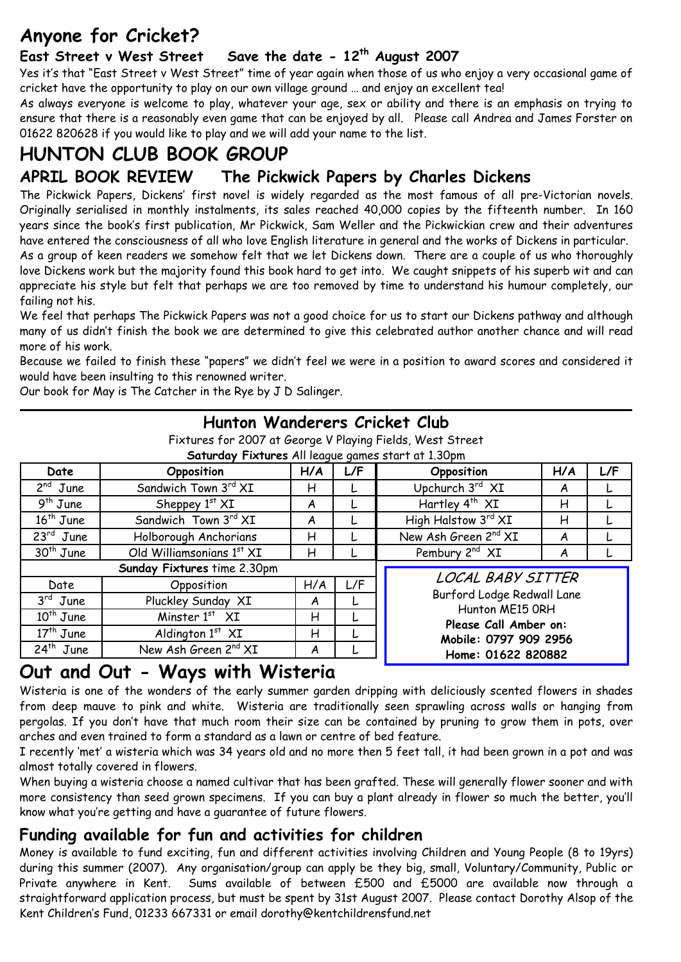# **Anyone for Cricket?**

## East Street v West Street Save the date - 12<sup>th</sup> August 2007

Yes it's that "East Street v West Street" time of year again when those of us who enjoy a very occasional game of cricket have the opportunity to play on our own village ground … and enjoy an excellent tea!

As always everyone is welcome to play, whatever your age, sex or ability and there is an emphasis on trying to ensure that there is a reasonably even game that can be enjoyed by all. Please call Andrea and James Forster on 01622 820628 if you would like to play and we will add your name to the list.

# **HUNTON CLUB BOOK GROUP**

## **APRIL BOOK REVIEW The Pickwick Papers by Charles Dickens**

The Pickwick Papers, Dickens' first novel is widely regarded as the most famous of all pre-Victorian novels. Originally serialised in monthly instalments, its sales reached 40,000 copies by the fifteenth number. In 160 years since the book's first publication, Mr Pickwick, Sam Weller and the Pickwickian crew and their adventures have entered the consciousness of all who love English literature in general and the works of Dickens in particular. As a group of keen readers we somehow felt that we let Dickens down. There are a couple of us who thoroughly love Dickens work but the majority found this book hard to get into. We caught snippets of his superb wit and can appreciate his style but felt that perhaps we are too removed by time to understand his humour completely, our

failing not his.

We feel that perhaps The Pickwick Papers was not a good choice for us to start our Dickens pathway and although many of us didn't finish the book we are determined to give this celebrated author another chance and will read more of his work.

Because we failed to finish these "papers" we didn't feel we were in a position to award scores and considered it would have been insulting to this renowned writer.

Our book for May is The Catcher in the Rye by J D Salinger.

## **Hunton Wanderers Cricket Club**

Fixtures for 2007 at George V Playing Fields, West Street **Saturday Fixtures** All leggue games start at 1.30pm

| Date                        | <b>Darul day I IATULES</b> All Tougho gailles start at 1.00pm<br>Opposition | H/A | L/F | Opposition                                                                                  | H/A | L/F |
|-----------------------------|-----------------------------------------------------------------------------|-----|-----|---------------------------------------------------------------------------------------------|-----|-----|
| $2^{nd}$ June               | Sandwich Town 3rd XI                                                        | Н   |     | Upchurch 3rd XI                                                                             | A   |     |
| $9th$ June                  | Sheppey $1st XI$                                                            | A   |     | Hartley 4 <sup>th</sup> XI                                                                  | Н   |     |
| $16th$ June                 | Sandwich Town 3rd XI                                                        | A   |     | High Halstow 3rd XI                                                                         | Н   |     |
| $23^{\text{rd}}$ June       | Holborough Anchorians                                                       | н   |     | New Ash Green 2nd XI                                                                        | A   |     |
| $30th$ June                 | Old Williamsonians 1st XI                                                   | Н   |     | Pembury $2^{nd}$ XI                                                                         | A   |     |
| Sunday Fixtures time 2.30pm |                                                                             |     |     |                                                                                             |     |     |
| Date                        | Opposition                                                                  | H/A | L/F | LOCAL BABY SITTER<br>Burford Lodge Redwall Lane<br>Hunton ME15 ORH<br>Please Call Amber on: |     |     |
| $3^{\text{rd}}$ June        | Pluckley Sunday XI                                                          | A   |     |                                                                                             |     |     |
| $10^{th}$ June              | Minster 1st XI                                                              | Η   |     |                                                                                             |     |     |
| $17th$ June                 | Aldington $1st$ XI                                                          | н   |     | Mobile: 0797 909 2956                                                                       |     |     |
| $24th$ June                 | New Ash Green 2nd XI                                                        | A   |     | Home: 01622 820882                                                                          |     |     |

# **Out and Out - Ways with Wisteria**

Wisteria is one of the wonders of the early summer garden dripping with deliciously scented flowers in shades from deep mauve to pink and white. Wisteria are traditionally seen sprawling across walls or hanging from pergolas. If you don't have that much room their size can be contained by pruning to grow them in pots, over arches and even trained to form a standard as a lawn or centre of bed feature.

I recently 'met' a wisteria which was 34 years old and no more then 5 feet tall, it had been grown in a pot and was almost totally covered in flowers.

When buying a wisteria choose a named cultivar that has been grafted. These will generally flower sooner and with more consistency than seed grown specimens. If you can buy a plant already in flower so much the better, you'll know what you're getting and have a guarantee of future flowers.

## **Funding available for fun and activities for children**

Money is available to fund exciting, fun and different activities involving Children and Young People (8 to 19yrs) during this summer (2007). Any organisation/group can apply be they big, small, Voluntary/Community, Public or Private anywhere in Kent. Sums available of between £500 and £5000 are available now through a straightforward application process, but must be spent by 31st August 2007. Please contact Dorothy Alsop of the Kent Children's Fund, 01233 667331 or email dorothy@kentchildrensfund.net